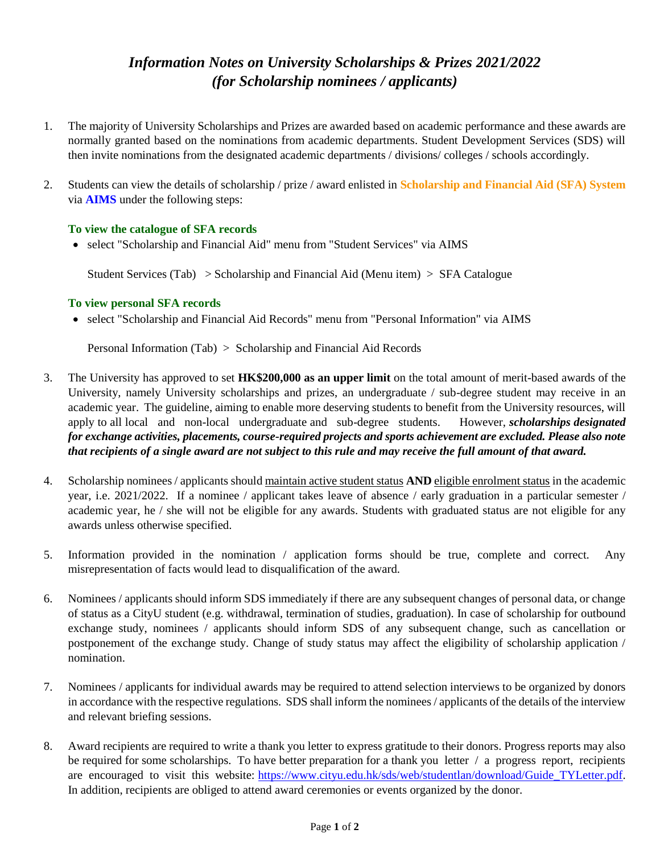### *Information Notes on University Scholarships & Prizes 2021/2022 (for Scholarship nominees / applicants)*

- 1. The majority of University Scholarships and Prizes are awarded based on academic performance and these awards are normally granted based on the nominations from academic departments. Student Development Services (SDS) will then invite nominations from the designated academic departments / divisions/ colleges / schools accordingly.
- 2. Students can view the details of scholarship / prize / award enlisted in **Scholarship and Financial Aid (SFA) System** via **AIMS** under the following steps:

#### **To view the catalogue of SFA records**

• select "Scholarship and Financial Aid" menu from "Student Services" via AIMS

Student Services (Tab) > Scholarship and Financial Aid (Menu item) > SFA Catalogue

#### **To view personal SFA records**

• select "Scholarship and Financial Aid Records" menu from "Personal Information" via AIMS

Personal Information (Tab) > Scholarship and Financial Aid Records

- 3. The University has approved to set **HK\$200,000 as an upper limit** on the total amount of merit-based awards of the University, namely University scholarships and prizes, an undergraduate / sub-degree student may receive in an academic year. The guideline, aiming to enable more deserving students to benefit from the University resources, will apply to all local and non-local undergraduate and sub-degree students. However, *scholarships designated for exchange activities, placements, course-required projects and sports achievement are excluded. Please also note that recipients of a single award are not subject to this rule and may receive the full amount of that award.*
- 4. Scholarship nominees / applicants should maintain active student status **AND** eligible enrolment status in the academic year, i.e. 2021/2022. If a nominee / applicant takes leave of absence / early graduation in a particular semester / academic year, he / she will not be eligible for any awards. Students with graduated status are not eligible for any awards unless otherwise specified.
- 5. Information provided in the nomination / application forms should be true, complete and correct. Any misrepresentation of facts would lead to disqualification of the award.
- 6. Nominees / applicants should inform SDS immediately if there are any subsequent changes of personal data, or change of status as a CityU student (e.g. withdrawal, termination of studies, graduation). In case of scholarship for outbound exchange study, nominees / applicants should inform SDS of any subsequent change, such as cancellation or postponement of the exchange study. Change of study status may affect the eligibility of scholarship application / nomination.
- 7. Nominees / applicants for individual awards may be required to attend selection interviews to be organized by donors in accordance with the respective regulations. SDS shall inform the nominees / applicants of the details of the interview and relevant briefing sessions.
- 8. Award recipients are required to write a thank you letter to express gratitude to their donors. Progress reports may also be required for some scholarships. To have better preparation for a thank you letter / a progress report, recipients are encouraged to visit this website: [https://www.cityu.edu.hk/sds/web/studentlan/download/Guide\\_TYLetter.pdf.](https://www.cityu.edu.hk/sds/web/studentlan/download/Guide_TYLetter.pdf) In addition, recipients are obliged to attend award ceremonies or events organized by the donor.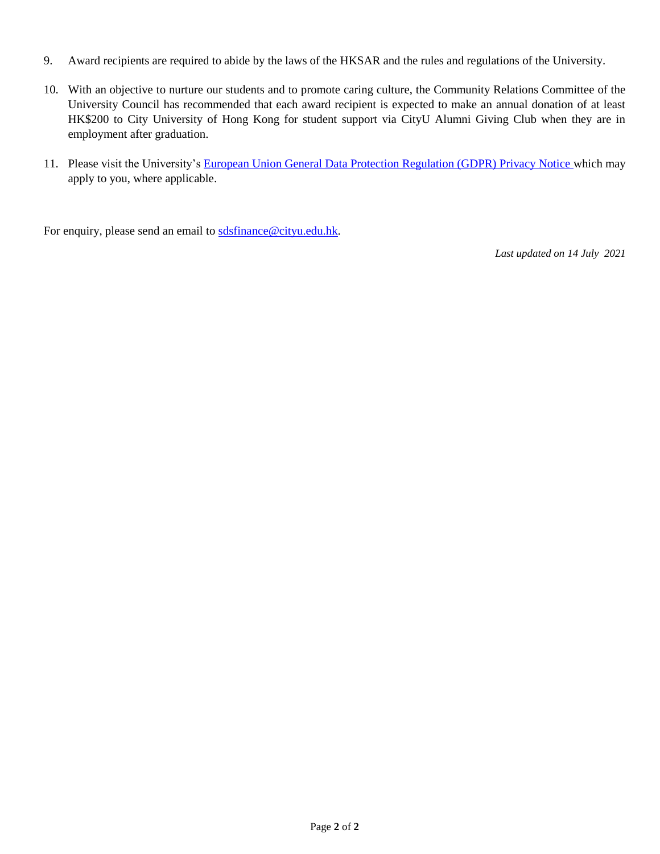- 9. Award recipients are required to abide by the laws of the HKSAR and the rules and regulations of the University.
- 10. With an objective to nurture our students and to promote caring culture, the Community Relations Committee of the University Council has recommended that each award recipient is expected to make an annual donation of at least HK\$200 to City University of Hong Kong for student support via CityU Alumni Giving Club when they are in employment after graduation.
- 11. Please visit the University's [European Union General Data Protection Regulation \(GDPR\) Privacy Notice w](https://banweb.cityu.edu.hk/cityu/GDPRPrivacyNotice.pdf)hich may apply to you, where applicable.

For enquiry, please send an email to [sdsfinance@cityu.edu.hk.](mailto:sdsfinance@cityu.edu.hk)

*Last updated on 14 July 2021*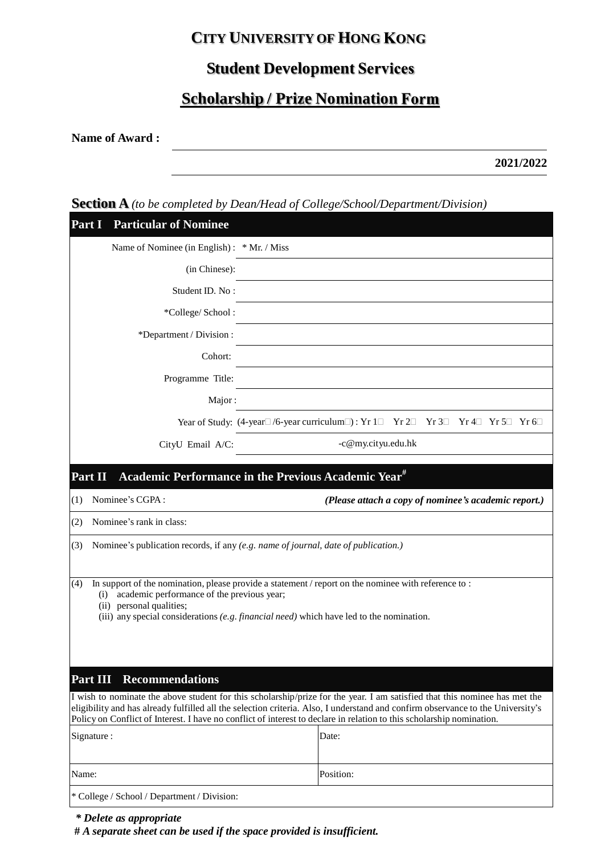### **CITY UNIVERSITY OF HONG**

# **Student Development**

# **Scholarship / Prize Nomination**

**Name of Award :** 

**2021/2022**

### **Section A** *(to be completed by Dean/Head of College/School/Department/Division)*

| Part I                                                                                                                                                                                                                                                                                   | <b>Particular of Nominee</b>                |                                                                                                                                                                                                                                                                                                                                                                                        |  |  |
|------------------------------------------------------------------------------------------------------------------------------------------------------------------------------------------------------------------------------------------------------------------------------------------|---------------------------------------------|----------------------------------------------------------------------------------------------------------------------------------------------------------------------------------------------------------------------------------------------------------------------------------------------------------------------------------------------------------------------------------------|--|--|
|                                                                                                                                                                                                                                                                                          | Name of Nominee (in English): * Mr. / Miss  |                                                                                                                                                                                                                                                                                                                                                                                        |  |  |
|                                                                                                                                                                                                                                                                                          | (in Chinese):                               |                                                                                                                                                                                                                                                                                                                                                                                        |  |  |
|                                                                                                                                                                                                                                                                                          | Student ID. No:                             |                                                                                                                                                                                                                                                                                                                                                                                        |  |  |
|                                                                                                                                                                                                                                                                                          | *College/School:                            |                                                                                                                                                                                                                                                                                                                                                                                        |  |  |
|                                                                                                                                                                                                                                                                                          | *Department / Division :                    |                                                                                                                                                                                                                                                                                                                                                                                        |  |  |
|                                                                                                                                                                                                                                                                                          | Cohort:                                     |                                                                                                                                                                                                                                                                                                                                                                                        |  |  |
|                                                                                                                                                                                                                                                                                          | Programme Title:                            |                                                                                                                                                                                                                                                                                                                                                                                        |  |  |
|                                                                                                                                                                                                                                                                                          | Major:                                      |                                                                                                                                                                                                                                                                                                                                                                                        |  |  |
|                                                                                                                                                                                                                                                                                          |                                             | Year of Study: (4-year $\Box$ /6-year curriculum $\Box$ ): Yr $1 \Box$ Yr $2 \Box$ Yr $3 \Box$ Yr $4 \Box$ Yr $5 \Box$ Yr $6 \Box$                                                                                                                                                                                                                                                     |  |  |
|                                                                                                                                                                                                                                                                                          | CityU Email A/C:                            | -c@my.cityu.edu.hk                                                                                                                                                                                                                                                                                                                                                                     |  |  |
|                                                                                                                                                                                                                                                                                          |                                             |                                                                                                                                                                                                                                                                                                                                                                                        |  |  |
| Part II                                                                                                                                                                                                                                                                                  |                                             | Academic Performance in the Previous Academic Year <sup>#</sup>                                                                                                                                                                                                                                                                                                                        |  |  |
| (1)                                                                                                                                                                                                                                                                                      | Nominee's CGPA:                             | (Please attach a copy of nominee's academic report.)                                                                                                                                                                                                                                                                                                                                   |  |  |
| (2)                                                                                                                                                                                                                                                                                      | Nominee's rank in class:                    |                                                                                                                                                                                                                                                                                                                                                                                        |  |  |
| Nominee's publication records, if any (e.g. name of journal, date of publication.)<br>(3)                                                                                                                                                                                                |                                             |                                                                                                                                                                                                                                                                                                                                                                                        |  |  |
| In support of the nomination, please provide a statement / report on the nominee with reference to :<br>(4)<br>academic performance of the previous year;<br>(i)<br>(ii) personal qualities;<br>(iii) any special considerations (e.g. financial need) which have led to the nomination. |                                             |                                                                                                                                                                                                                                                                                                                                                                                        |  |  |
| Part III                                                                                                                                                                                                                                                                                 | <b>Recommendations</b>                      |                                                                                                                                                                                                                                                                                                                                                                                        |  |  |
|                                                                                                                                                                                                                                                                                          |                                             | I wish to nominate the above student for this scholarship/prize for the year. I am satisfied that this nominee has met the<br>eligibility and has already fulfilled all the selection criteria. Also, I understand and confirm observance to the University's<br>Policy on Conflict of Interest. I have no conflict of interest to declare in relation to this scholarship nomination. |  |  |
| Signature :                                                                                                                                                                                                                                                                              |                                             | Date:                                                                                                                                                                                                                                                                                                                                                                                  |  |  |
| Name:                                                                                                                                                                                                                                                                                    |                                             | Position:                                                                                                                                                                                                                                                                                                                                                                              |  |  |
|                                                                                                                                                                                                                                                                                          | * College / School / Department / Division: |                                                                                                                                                                                                                                                                                                                                                                                        |  |  |

 **#** *A separate sheet can be used if the space provided is insufficient.*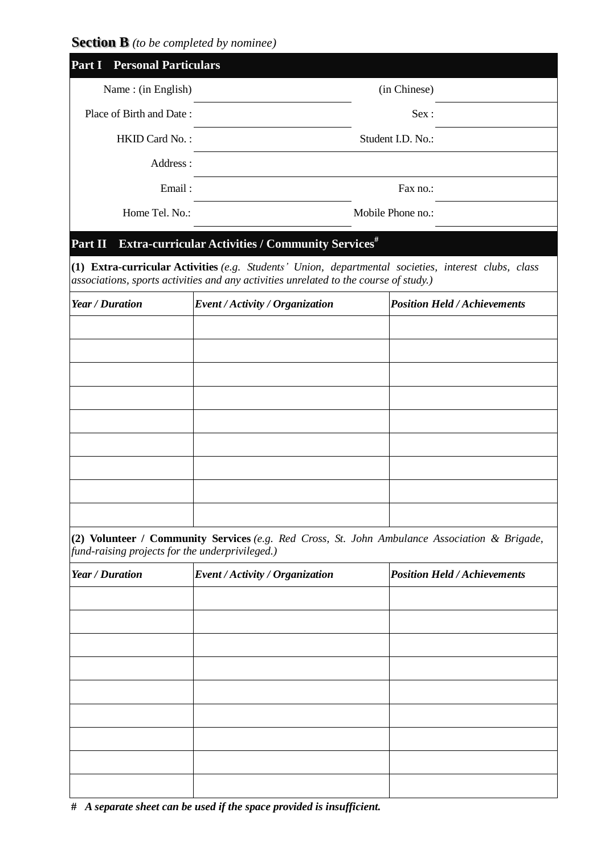**Section B** *(to be completed by nominee)*

| <b>Part I</b> Personal Particulars              |                                                                                       |                                                                                                      |
|-------------------------------------------------|---------------------------------------------------------------------------------------|------------------------------------------------------------------------------------------------------|
| Name: (in English)                              |                                                                                       | (in Chinese)                                                                                         |
| Place of Birth and Date:                        |                                                                                       | Sex:                                                                                                 |
| HKID Card No.:                                  |                                                                                       | Student I.D. No.:                                                                                    |
| Address:                                        |                                                                                       |                                                                                                      |
| Email:                                          |                                                                                       | Fax no.:                                                                                             |
|                                                 | Home Tel. No.:<br>Mobile Phone no.:                                                   |                                                                                                      |
| Part II                                         | <b>Extra-curricular Activities / Community Services</b> #                             |                                                                                                      |
|                                                 | associations, sports activities and any activities unrelated to the course of study.) | (1) Extra-curricular Activities (e.g. Students' Union, departmental societies, interest clubs, class |
| <b>Year / Duration</b>                          | Event / Activity / Organization                                                       | <b>Position Held / Achievements</b>                                                                  |
|                                                 |                                                                                       |                                                                                                      |
|                                                 |                                                                                       |                                                                                                      |
|                                                 |                                                                                       |                                                                                                      |
|                                                 |                                                                                       |                                                                                                      |
|                                                 |                                                                                       |                                                                                                      |
|                                                 |                                                                                       |                                                                                                      |
|                                                 |                                                                                       |                                                                                                      |
|                                                 |                                                                                       |                                                                                                      |
| fund-raising projects for the underprivileged.) |                                                                                       | (2) Volunteer / Community Services (e.g. Red Cross, St. John Ambulance Association & Brigade,        |
| <b>Year / Duration</b>                          | Event / Activity / Organization                                                       | <b>Position Held / Achievements</b>                                                                  |
|                                                 |                                                                                       |                                                                                                      |
|                                                 |                                                                                       |                                                                                                      |
|                                                 |                                                                                       |                                                                                                      |
|                                                 |                                                                                       |                                                                                                      |
|                                                 |                                                                                       |                                                                                                      |
|                                                 |                                                                                       |                                                                                                      |
|                                                 |                                                                                       |                                                                                                      |
|                                                 |                                                                                       |                                                                                                      |
|                                                 |                                                                                       |                                                                                                      |

 **#** *A separate sheet can be used if the space provided is insufficient.*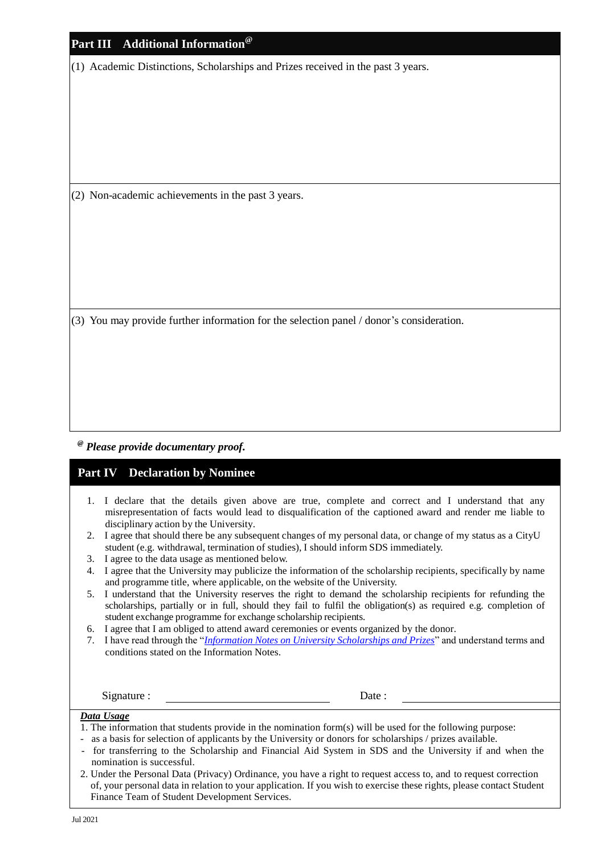| Part III Additional Information <sup>®</sup>                                             |
|------------------------------------------------------------------------------------------|
| (1) Academic Distinctions, Scholarships and Prizes received in the past 3 years.         |
|                                                                                          |
|                                                                                          |
|                                                                                          |
|                                                                                          |
|                                                                                          |
| (2) Non-academic achievements in the past 3 years.                                       |
|                                                                                          |
|                                                                                          |
|                                                                                          |
|                                                                                          |
|                                                                                          |
| (3) You may provide further information for the selection panel / donor's consideration. |
|                                                                                          |
|                                                                                          |
|                                                                                          |
|                                                                                          |

*@ Please provide documentary proof.*

### **Part IV Declaration by Nominee**

- 1. I declare that the details given above are true, complete and correct and I understand that any misrepresentation of facts would lead to disqualification of the captioned award and render me liable to disciplinary action by the University.
- 2. I agree that should there be any subsequent changes of my personal data, or change of my status as a CityU student (e.g. withdrawal, termination of studies), I should inform SDS immediately.
- 3. I agree to the data usage as mentioned below.
- 4. I agree that the University may publicize the information of the scholarship recipients, specifically by name and programme title, where applicable, on the website of the University.
- 5. I understand that the University reserves the right to demand the scholarship recipients for refunding the scholarships, partially or in full, should they fail to fulfil the obligation(s) as required e.g. completion of student exchange programme for exchange scholarship recipients.
- 6. I agree that I am obliged to attend award ceremonies or events organized by the donor.
- 7. I have read through the "*[Information Notes on University Scholarships and Prizes](https://www.cityu.edu.hk/sds/web/studentlan/download/Information_Notes_for_Scholarship_Nominees.pdf)*" and understand terms and conditions stated on the Information Notes.

Signature : Date :

### *Data Usage*

- 1. The information that students provide in the nomination form(s) will be used for the following purpose:
	- as a basis for selection of applicants by the University or donors for scholarships / prizes available.
- for transferring to the Scholarship and Financial Aid System in SDS and the University if and when the nomination is successful.
- 2. Under the Personal Data (Privacy) Ordinance, you have a right to request access to, and to request correction of, your personal data in relation to your application. If you wish to exercise these rights, please contact Student Finance Team of Student Development Services.